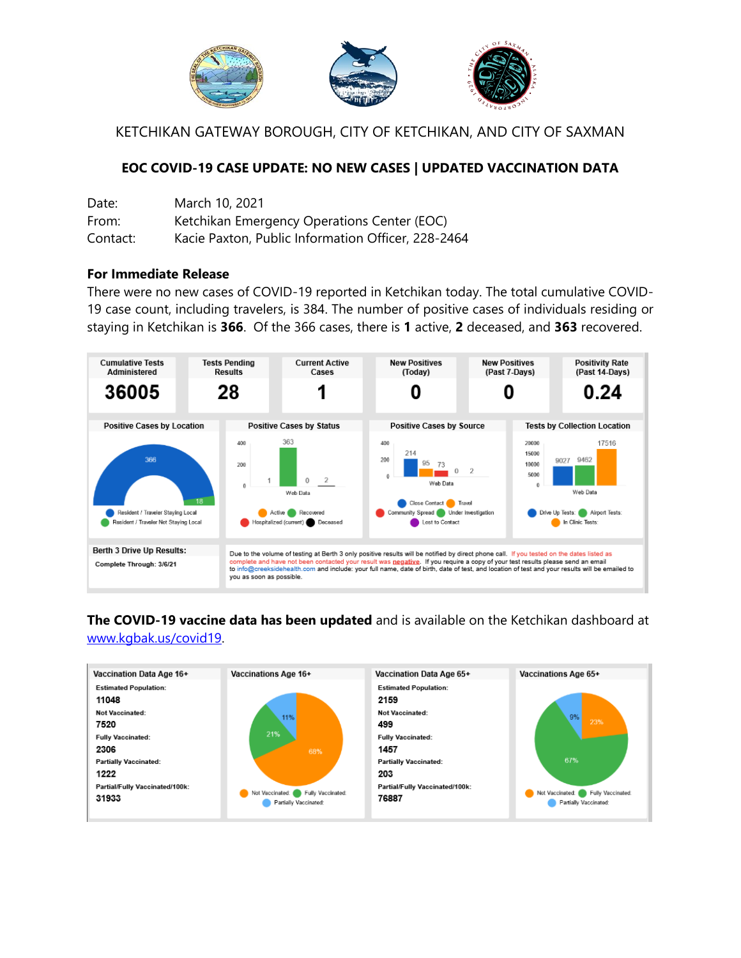

KETCHIKAN GATEWAY BOROUGH, CITY OF KETCHIKAN, AND CITY OF SAXMAN

## **EOC COVID-19 CASE UPDATE: NO NEW CASES | UPDATED VACCINATION DATA**

| Date:    | March 10, 2021                                     |
|----------|----------------------------------------------------|
| From:    | Ketchikan Emergency Operations Center (EOC)        |
| Contact: | Kacie Paxton, Public Information Officer, 228-2464 |

## **For Immediate Release**

There were no new cases of COVID-19 reported in Ketchikan today. The total cumulative COVID-19 case count, including travelers, is 384. The number of positive cases of individuals residing or staying in Ketchikan is **366**. Of the 366 cases, there is **1** active, **2** deceased, and **363** recovered.



## **The COVID-19 vaccine data has been updated** and is available on the Ketchikan dashboard at [www.kgbak.us/covid19.](http://www.kgbak.us/covid19)